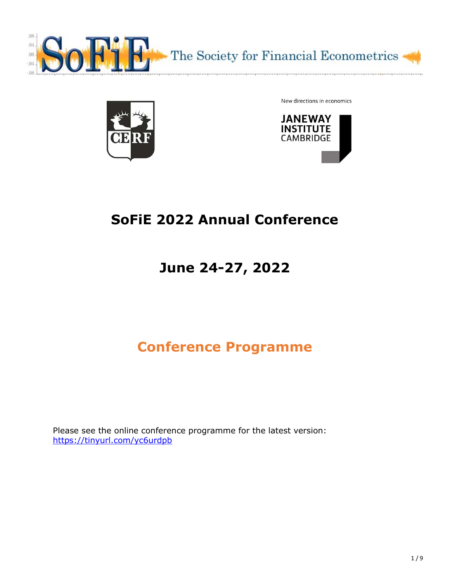



New directions in economics



## SoFiE 2022 Annual Conference

# June 24-27, 2022

## Conference Programme

Please see the online conference programme for the latest version: https://tinyurl.com/yc6urdpb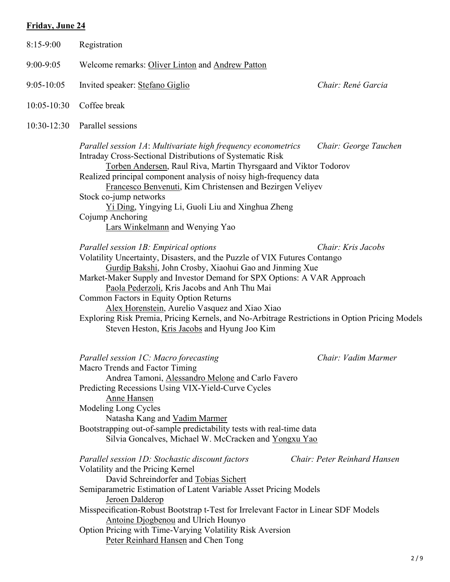## Friday, June 24

| $8:15-9:00$     | Registration                                                                                                                                                                                                                                                                                                                                                                                                                                                                                                                                             |                       |
|-----------------|----------------------------------------------------------------------------------------------------------------------------------------------------------------------------------------------------------------------------------------------------------------------------------------------------------------------------------------------------------------------------------------------------------------------------------------------------------------------------------------------------------------------------------------------------------|-----------------------|
| $9:00 - 9:05$   | Welcome remarks: Oliver Linton and Andrew Patton                                                                                                                                                                                                                                                                                                                                                                                                                                                                                                         |                       |
| $9:05 - 10:05$  | Invited speaker: Stefano Giglio                                                                                                                                                                                                                                                                                                                                                                                                                                                                                                                          | Chair: René Garcia    |
| $10:05 - 10:30$ | Coffee break                                                                                                                                                                                                                                                                                                                                                                                                                                                                                                                                             |                       |
| $10:30 - 12:30$ | Parallel sessions                                                                                                                                                                                                                                                                                                                                                                                                                                                                                                                                        |                       |
|                 | Parallel session 1A: Multivariate high frequency econometrics<br>Intraday Cross-Sectional Distributions of Systematic Risk<br>Torben Andersen, Raul Riva, Martin Thyrsgaard and Viktor Todorov<br>Realized principal component analysis of noisy high-frequency data<br>Francesco Benvenuti, Kim Christensen and Bezirgen Veliyev<br>Stock co-jump networks<br>Yi Ding, Yingying Li, Guoli Liu and Xinghua Zheng<br>Cojump Anchoring<br>Lars Winkelmann and Wenying Yao                                                                                  | Chair: George Tauchen |
|                 | Parallel session 1B: Empirical options<br>Volatility Uncertainty, Disasters, and the Puzzle of VIX Futures Contango<br>Gurdip Bakshi, John Crosby, Xiaohui Gao and Jinming Xue<br>Market-Maker Supply and Investor Demand for SPX Options: A VAR Approach<br>Paola Pederzoli, Kris Jacobs and Anh Thu Mai<br>Common Factors in Equity Option Returns<br>Alex Horenstein, Aurelio Vasquez and Xiao Xiao<br>Exploring Risk Premia, Pricing Kernels, and No-Arbitrage Restrictions in Option Pricing Models<br>Steven Heston, Kris Jacobs and Hyung Joo Kim | Chair: Kris Jacobs    |
|                 | Parallel session 1C: Macro forecasting<br>Macro Trends and Factor Timing<br>Andrea Tamoni, Alessandro Melone and Carlo Favero<br>Predicting Recessions Using VIX-Yield-Curve Cycles<br>Anne Hansen<br>Modeling Long Cycles<br>Natasha Kang and Vadim Marmer<br>Bootstrapping out-of-sample predictability tests with real-time data<br>Silvia Goncalves, Michael W. McCracken and Yongxu Yao                                                                                                                                                             | Chair: Vadim Marmer   |

| Parallel session 1D: Stochastic discount factors                                    | Chair: Peter Reinhard Hansen |
|-------------------------------------------------------------------------------------|------------------------------|
| Volatility and the Pricing Kernel                                                   |                              |
| David Schreindorfer and Tobias Sichert                                              |                              |
| Semiparametric Estimation of Latent Variable Asset Pricing Models                   |                              |
| Jeroen Dalderop                                                                     |                              |
| Misspecification-Robust Bootstrap t-Test for Irrelevant Factor in Linear SDF Models |                              |
| Antoine Djogbenou and Ulrich Hounyo                                                 |                              |
| Option Pricing with Time-Varying Volatility Risk Aversion                           |                              |
| Peter Reinhard Hansen and Chen Tong                                                 |                              |
|                                                                                     |                              |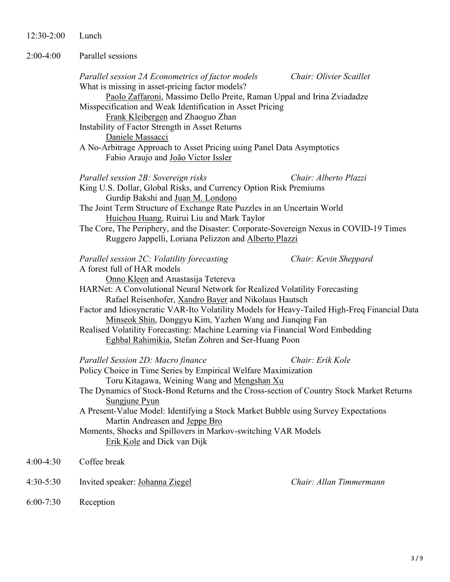12:30-2:00 Lunch

| $2:00-4:00$ | Parallel sessions |  |
|-------------|-------------------|--|
|             |                   |  |

|           | Parallel session 2A Econometrics of factor models<br>What is missing in asset-pricing factor models?                                                                                                                                                                                            | Chair: Olivier Scaillet |
|-----------|-------------------------------------------------------------------------------------------------------------------------------------------------------------------------------------------------------------------------------------------------------------------------------------------------|-------------------------|
|           | Paolo Zaffaroni, Massimo Dello Preite, Raman Uppal and Irina Zviadadze<br>Misspecification and Weak Identification in Asset Pricing<br>Frank Kleibergen and Zhaoguo Zhan                                                                                                                        |                         |
|           | Instability of Factor Strength in Asset Returns<br>Daniele Massacci                                                                                                                                                                                                                             |                         |
|           | A No-Arbitrage Approach to Asset Pricing using Panel Data Asymptotics<br>Fabio Araujo and João Victor Issler                                                                                                                                                                                    |                         |
|           | Parallel session 2B: Sovereign risks<br>King U.S. Dollar, Global Risks, and Currency Option Risk Premiums<br>Gurdip Bakshi and Juan M. Londono<br>The Joint Term Structure of Exchange Rate Puzzles in an Uncertain World                                                                       | Chair: Alberto Plazzi   |
|           | Huichou Huang, Ruirui Liu and Mark Taylor<br>The Core, The Periphery, and the Disaster: Corporate-Sovereign Nexus in COVID-19 Times<br>Ruggero Jappelli, Loriana Pelizzon and Alberto Plazzi                                                                                                    |                         |
|           | Parallel session 2C: Volatility forecasting<br>A forest full of HAR models<br>Onno Kleen and Anastasija Tetereva                                                                                                                                                                                | Chair: Kevin Sheppard   |
|           | HARNet: A Convolutional Neural Network for Realized Volatility Forecasting<br>Rafael Reisenhofer, Xandro Bayer and Nikolaus Hautsch                                                                                                                                                             |                         |
|           | Factor and Idiosyncratic VAR-Ito Volatility Models for Heavy-Tailed High-Freq Financial Data<br>Minseok Shin, Donggyu Kim, Yazhen Wang and Jianqing Fan<br>Realised Volatility Forecasting: Machine Learning via Financial Word Embedding<br>Eghbal Rahimikia, Stefan Zohren and Ser-Huang Poon |                         |
|           | Parallel Session 2D: Macro finance<br>Policy Choice in Time Series by Empirical Welfare Maximization<br>Toru Kitagawa, Weining Wang and Mengshan Xu                                                                                                                                             | Chair: Erik Kole        |
|           | The Dynamics of Stock-Bond Returns and the Cross-section of Country Stock Market Returns<br>Sungjune Pyun                                                                                                                                                                                       |                         |
|           | A Present-Value Model: Identifying a Stock Market Bubble using Survey Expectations<br>Martin Andreasen and Jeppe Bro<br>Moments, Shocks and Spillovers in Markov-switching VAR Models<br>Erik Kole and Dick van Dijk                                                                            |                         |
| 4:00-4:30 | Coffee break                                                                                                                                                                                                                                                                                    |                         |
| 4:30-5:30 | Invited speaker: Johanna Ziegel                                                                                                                                                                                                                                                                 | Chair: Allan Timmermann |
|           |                                                                                                                                                                                                                                                                                                 |                         |

6:00-7:30 Reception

 $4:00 - 4:30$ 

 $4:30-5:30$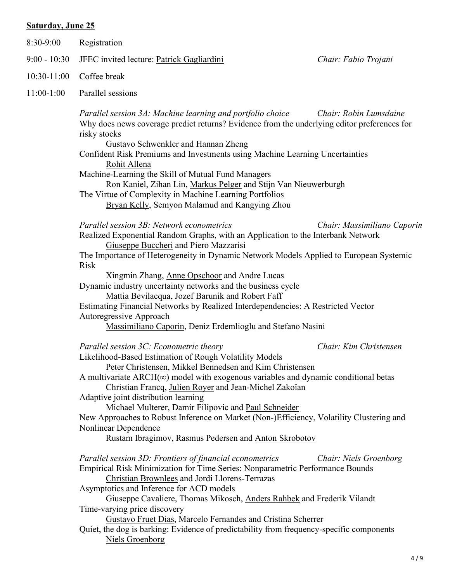### Saturday, June 25

| 8:30-9:00      | Registration                                                                                                                                                                                                                                                                                                                                                                                                                                                                                                     |                             |
|----------------|------------------------------------------------------------------------------------------------------------------------------------------------------------------------------------------------------------------------------------------------------------------------------------------------------------------------------------------------------------------------------------------------------------------------------------------------------------------------------------------------------------------|-----------------------------|
| $9:00 - 10:30$ | JFEC invited lecture: Patrick Gagliardini                                                                                                                                                                                                                                                                                                                                                                                                                                                                        | Chair: Fabio Trojani        |
| 10:30-11:00    | Coffee break                                                                                                                                                                                                                                                                                                                                                                                                                                                                                                     |                             |
| $11:00-1:00$   | Parallel sessions                                                                                                                                                                                                                                                                                                                                                                                                                                                                                                |                             |
|                | Parallel session 3A: Machine learning and portfolio choice<br>Why does news coverage predict returns? Evidence from the underlying editor preferences for<br>risky stocks<br><b>Gustavo Schwenkler</b> and Hannan Zheng                                                                                                                                                                                                                                                                                          | Chair: Robin Lumsdaine      |
|                | Confident Risk Premiums and Investments using Machine Learning Uncertainties<br>Rohit Allena                                                                                                                                                                                                                                                                                                                                                                                                                     |                             |
|                | Machine-Learning the Skill of Mutual Fund Managers<br>Ron Kaniel, Zihan Lin, Markus Pelger and Stijn Van Nieuwerburgh<br>The Virtue of Complexity in Machine Learning Portfolios                                                                                                                                                                                                                                                                                                                                 |                             |
|                | Bryan Kelly, Semyon Malamud and Kangying Zhou                                                                                                                                                                                                                                                                                                                                                                                                                                                                    |                             |
|                | Parallel session 3B: Network econometrics<br>Realized Exponential Random Graphs, with an Application to the Interbank Network<br>Giuseppe Buccheri and Piero Mazzarisi                                                                                                                                                                                                                                                                                                                                           | Chair: Massimiliano Caporin |
|                | The Importance of Heterogeneity in Dynamic Network Models Applied to European Systemic<br><b>Risk</b>                                                                                                                                                                                                                                                                                                                                                                                                            |                             |
|                | Xingmin Zhang, Anne Opschoor and Andre Lucas<br>Dynamic industry uncertainty networks and the business cycle<br>Mattia Bevilacqua, Jozef Barunik and Robert Faff                                                                                                                                                                                                                                                                                                                                                 |                             |
|                | Estimating Financial Networks by Realized Interdependencies: A Restricted Vector<br>Autoregressive Approach                                                                                                                                                                                                                                                                                                                                                                                                      |                             |
|                | Massimiliano Caporin, Deniz Erdemlioglu and Stefano Nasini                                                                                                                                                                                                                                                                                                                                                                                                                                                       |                             |
|                | Parallel session 3C: Econometric theory<br>Likelihood-Based Estimation of Rough Volatility Models<br>Peter Christensen, Mikkel Bennedsen and Kim Christensen<br>A multivariate $ARCH(\infty)$ model with exogenous variables and dynamic conditional betas<br>Christian Francq, Julien Royer and Jean-Michel Zakoïan<br>Adaptive joint distribution learning<br>Michael Multerer, Damir Filipovic and Paul Schneider<br>New Approaches to Robust Inference on Market (Non-)Efficiency, Volatility Clustering and | Chair: Kim Christensen      |
|                | Nonlinear Dependence<br>Rustam Ibragimov, Rasmus Pedersen and Anton Skrobotov                                                                                                                                                                                                                                                                                                                                                                                                                                    |                             |
|                | Parallel session 3D: Frontiers of financial econometrics<br>Empirical Risk Minimization for Time Series: Nonparametric Performance Bounds<br>Christian Brownlees and Jordi Llorens-Terrazas<br>Asymptotics and Inference for ACD models                                                                                                                                                                                                                                                                          | Chair: Niels Groenborg      |
|                | Giuseppe Cavaliere, Thomas Mikosch, Anders Rahbek and Frederik Vilandt<br>Time-varying price discovery<br>Gustavo Fruet Dias, Marcelo Fernandes and Cristina Scherrer<br>Quiet, the dog is barking: Evidence of predictability from frequency-specific components                                                                                                                                                                                                                                                |                             |
|                | <b>Niels Groenborg</b>                                                                                                                                                                                                                                                                                                                                                                                                                                                                                           |                             |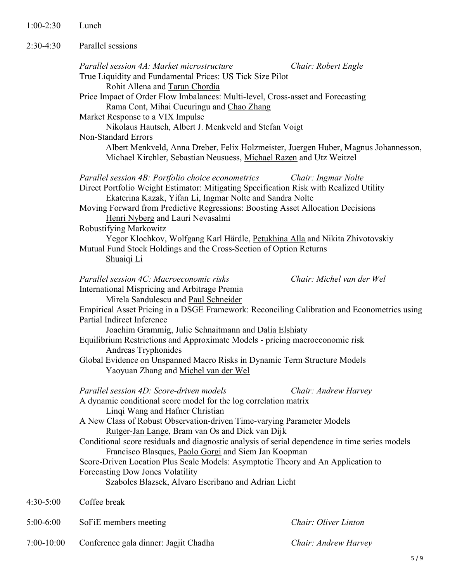| $1:00-2:30$ | Lunch                                                                                                                                                                                                                                                                                                                                                                                                                                                                                                                                                              |                                                                                                                                                                                                                                                                                                                                                                                                                        |
|-------------|--------------------------------------------------------------------------------------------------------------------------------------------------------------------------------------------------------------------------------------------------------------------------------------------------------------------------------------------------------------------------------------------------------------------------------------------------------------------------------------------------------------------------------------------------------------------|------------------------------------------------------------------------------------------------------------------------------------------------------------------------------------------------------------------------------------------------------------------------------------------------------------------------------------------------------------------------------------------------------------------------|
| $2:30-4:30$ | Parallel sessions                                                                                                                                                                                                                                                                                                                                                                                                                                                                                                                                                  |                                                                                                                                                                                                                                                                                                                                                                                                                        |
|             | Parallel session 4A: Market microstructure<br>True Liquidity and Fundamental Prices: US Tick Size Pilot<br>Rohit Allena and Tarun Chordia<br>Price Impact of Order Flow Imbalances: Multi-level, Cross-asset and Forecasting<br>Rama Cont, Mihai Cucuringu and Chao Zhang<br>Market Response to a VIX Impulse<br>Nikolaus Hautsch, Albert J. Menkveld and Stefan Voigt<br><b>Non-Standard Errors</b><br>Albert Menkveld, Anna Dreber, Felix Holzmeister, Juergen Huber, Magnus Johannesson,<br>Michael Kirchler, Sebastian Neusuess, Michael Razen and Utz Weitzel | Chair: Robert Engle                                                                                                                                                                                                                                                                                                                                                                                                    |
|             | Parallel session 4B: Portfolio choice econometrics<br>Direct Portfolio Weight Estimator: Mitigating Specification Risk with Realized Utility<br>Ekaterina Kazak, Yifan Li, Ingmar Nolte and Sandra Nolte<br>Moving Forward from Predictive Regressions: Boosting Asset Allocation Decisions<br>Henri Nyberg and Lauri Nevasalmi<br>Robustifying Markowitz<br>Yegor Klochkov, Wolfgang Karl Härdle, Petukhina Alla and Nikita Zhivotovskiy<br>Mutual Fund Stock Holdings and the Cross-Section of Option Returns<br>Shuaiqi Li                                      | Chair: Ingmar Nolte                                                                                                                                                                                                                                                                                                                                                                                                    |
|             | Parallel session 4C: Macroeconomic risks<br>International Mispricing and Arbitrage Premia<br>Mirela Sandulescu and Paul Schneider<br>Empirical Asset Pricing in a DSGE Framework: Reconciling Calibration and Econometrics using<br>Partial Indirect Inference<br>Joachim Grammig, Julie Schnaitmann and Dalia Elshiaty<br>Equilibrium Restrictions and Approximate Models - pricing macroeconomic risk<br><b>Andreas Tryphonides</b><br>Global Evidence on Unspanned Macro Risks in Dynamic Term Structure Models<br>Yaoyuan Zhang and Michel van der Wel         | Chair: Michel van der Wel                                                                                                                                                                                                                                                                                                                                                                                              |
|             | $D_{\text{new}}H_1I_{\text{new}}$ and $D_{\text{new}}G_2$ and $I_{\text{new}}$ and $I_{\text{new}}$                                                                                                                                                                                                                                                                                                                                                                                                                                                                | $\alpha$ , $\alpha$ , $\alpha$ , $\alpha$ , $\alpha$ , $\alpha$ , $\alpha$ , $\alpha$ , $\alpha$ , $\alpha$ , $\alpha$ , $\alpha$ , $\alpha$ , $\alpha$ , $\alpha$ , $\alpha$ , $\alpha$ , $\alpha$ , $\alpha$ , $\alpha$ , $\alpha$ , $\alpha$ , $\alpha$ , $\alpha$ , $\alpha$ , $\alpha$ , $\alpha$ , $\alpha$ , $\alpha$ , $\alpha$ , $\alpha$ , $\alpha$ , $\alpha$ , $\alpha$ , $\alpha$ , $\alpha$ , $\alpha$ , |

| Parallel session 4D: Score-driven models                                                       | Chair: Andrew Harvey |
|------------------------------------------------------------------------------------------------|----------------------|
| A dynamic conditional score model for the log correlation matrix                               |                      |
| Lingi Wang and Hafner Christian                                                                |                      |
| A New Class of Robust Observation-driven Time-varying Parameter Models                         |                      |
| Rutger-Jan Lange, Bram van Os and Dick van Dijk                                                |                      |
| Conditional score residuals and diagnostic analysis of serial dependence in time series models |                      |
| Francisco Blasques, Paolo Gorgi and Siem Jan Koopman                                           |                      |
| Score-Driven Location Plus Scale Models: Asymptotic Theory and An Application to               |                      |
| <b>Forecasting Dow Jones Volatility</b>                                                        |                      |
| Szabolcs Blazsek, Alvaro Escribano and Adrian Licht                                            |                      |
|                                                                                                |                      |

- 4:30-5:00 Coffee break
- 5:00-6:00 SoFiE members meeting Chair: Oliver Linton
- 7:00-10:00 Conference gala dinner: Jagjit Chadha Chair: Andrew Harvey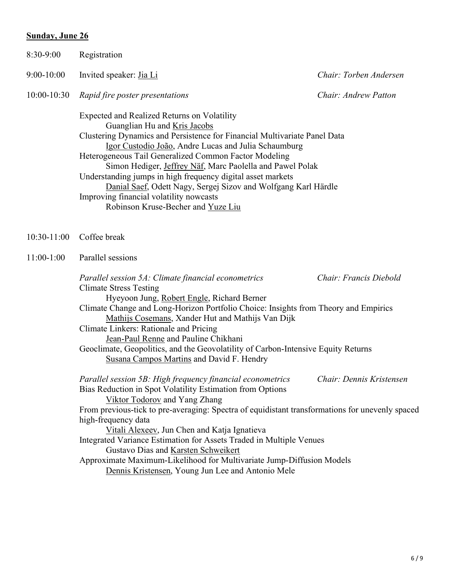### Sunday, June 26

| 8:30-9:00                         | Registration                                                                                                                                                                                                                                                                                                                                                                                                                                                                                                                                                                                            |                        |
|-----------------------------------|---------------------------------------------------------------------------------------------------------------------------------------------------------------------------------------------------------------------------------------------------------------------------------------------------------------------------------------------------------------------------------------------------------------------------------------------------------------------------------------------------------------------------------------------------------------------------------------------------------|------------------------|
| $9:00-10:00$                      | Invited speaker: Jia Li                                                                                                                                                                                                                                                                                                                                                                                                                                                                                                                                                                                 | Chair: Torben Andersen |
| $10:00-10:30$                     | Rapid fire poster presentations                                                                                                                                                                                                                                                                                                                                                                                                                                                                                                                                                                         | Chair: Andrew Patton   |
|                                   | Expected and Realized Returns on Volatility<br>Guanglian Hu and Kris Jacobs<br>Clustering Dynamics and Persistence for Financial Multivariate Panel Data<br>Igor Custodio João, Andre Lucas and Julia Schaumburg<br>Heterogeneous Tail Generalized Common Factor Modeling<br>Simon Hediger, Jeffrey Näf, Marc Paolella and Pawel Polak<br>Understanding jumps in high frequency digital asset markets<br>Danial Saef, Odett Nagy, Sergej Sizov and Wolfgang Karl Härdle<br>Improving financial volatility nowcasts<br>Robinson Kruse-Becher and Yuze Liu                                                |                        |
| $10:30-11:00$                     | Coffee break                                                                                                                                                                                                                                                                                                                                                                                                                                                                                                                                                                                            |                        |
| Parallel sessions<br>$11:00-1:00$ |                                                                                                                                                                                                                                                                                                                                                                                                                                                                                                                                                                                                         |                        |
|                                   | Parallel session 5A: Climate financial econometrics<br><b>Climate Stress Testing</b><br>Hyeyoon Jung, Robert Engle, Richard Berner<br>Climate Change and Long-Horizon Portfolio Choice: Insights from Theory and Empirics<br>Mathijs Cosemans, Xander Hut and Mathijs Van Dijk<br>Climate Linkers: Rationale and Pricing<br>Jean-Paul Renne and Pauline Chikhani<br>Geoclimate, Geopolitics, and the Geovolatility of Carbon-Intensive Equity Returns<br>Susana Campos Martins and David F. Hendry                                                                                                      | Chair: Francis Diebold |
|                                   | Parallel session 5B: High frequency financial econometrics Chair: Dennis Kristensen<br>Bias Reduction in Spot Volatility Estimation from Options<br>Viktor Todorov and Yang Zhang<br>From previous-tick to pre-averaging: Spectra of equidistant transformations for unevenly spaced<br>high-frequency data<br>Vitali Alexeev, Jun Chen and Katja Ignatieva<br>Integrated Variance Estimation for Assets Traded in Multiple Venues<br>Gustavo Dias and Karsten Schweikert<br>Approximate Maximum-Likelihood for Multivariate Jump-Diffusion Models<br>Dennis Kristensen, Young Jun Lee and Antonio Mele |                        |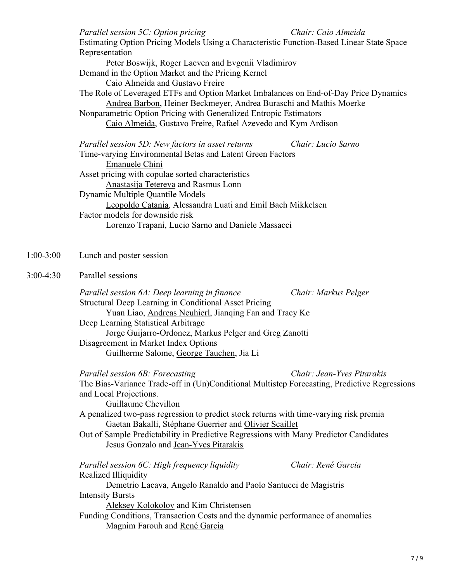|             | Parallel session 5C: Option pricing<br>Chair: Caio Almeida<br>Estimating Option Pricing Models Using a Characteristic Function-Based Linear State Space<br>Representation<br>Peter Boswijk, Roger Laeven and Evgenii Vladimirov<br>Demand in the Option Market and the Pricing Kernel<br>Caio Almeida and Gustavo Freire<br>The Role of Leveraged ETFs and Option Market Imbalances on End-of-Day Price Dynamics<br>Andrea Barbon, Heiner Beckmeyer, Andrea Buraschi and Mathis Moerke<br>Nonparametric Option Pricing with Generalized Entropic Estimators<br>Caio Almeida, Gustavo Freire, Rafael Azevedo and Kym Ardison |
|-------------|-----------------------------------------------------------------------------------------------------------------------------------------------------------------------------------------------------------------------------------------------------------------------------------------------------------------------------------------------------------------------------------------------------------------------------------------------------------------------------------------------------------------------------------------------------------------------------------------------------------------------------|
|             | Parallel session 5D: New factors in asset returns<br>Chair: Lucio Sarno<br>Time-varying Environmental Betas and Latent Green Factors<br>Emanuele Chini<br>Asset pricing with copulae sorted characteristics<br>Anastasija Tetereva and Rasmus Lonn<br>Dynamic Multiple Quantile Models<br>Leopoldo Catania, Alessandra Luati and Emil Bach Mikkelsen<br>Factor models for downside risk<br>Lorenzo Trapani, Lucio Sarno and Daniele Massacci                                                                                                                                                                                |
| $1:00-3:00$ | Lunch and poster session                                                                                                                                                                                                                                                                                                                                                                                                                                                                                                                                                                                                    |
| $3:00-4:30$ | Parallel sessions<br>Parallel session 6A: Deep learning in finance<br>Chair: Markus Pelger<br>Structural Deep Learning in Conditional Asset Pricing<br>Yuan Liao, Andreas Neuhierl, Jianqing Fan and Tracy Ke<br>Deep Learning Statistical Arbitrage<br>Jorge Guijarro-Ordonez, Markus Pelger and Greg Zanotti<br>Disagreement in Market Index Options<br>Guilherme Salome, George Tauchen, Jia Li<br>Chair: Jean-Yves Pitarakis<br>Parallel session 6B: Forecasting                                                                                                                                                        |
|             | The Bias-Variance Trade-off in (Un)Conditional Multistep Forecasting, Predictive Regressions<br>and Local Projections.<br>Guillaume Chevillon<br>A penalized two-pass regression to predict stock returns with time-varying risk premia<br>Gaetan Bakalli, Stéphane Guerrier and Olivier Scaillet<br>Out of Sample Predictability in Predictive Regressions with Many Predictor Candidates<br>Jesus Gonzalo and Jean-Yves Pitarakis                                                                                                                                                                                         |
|             | Chair: René Garcia<br>Parallel session 6C: High frequency liquidity<br>Realized Illiquidity<br>Demetrio Lacava, Angelo Ranaldo and Paolo Santucci de Magistris<br><b>Intensity Bursts</b><br>Aleksey Kolokolov and Kim Christensen<br>Funding Conditions, Transaction Costs and the dynamic performance of anomalies<br>Magnim Farouh and René Garcia                                                                                                                                                                                                                                                                       |

 $1:00 - 3:00$ 

 $3:00-4:30$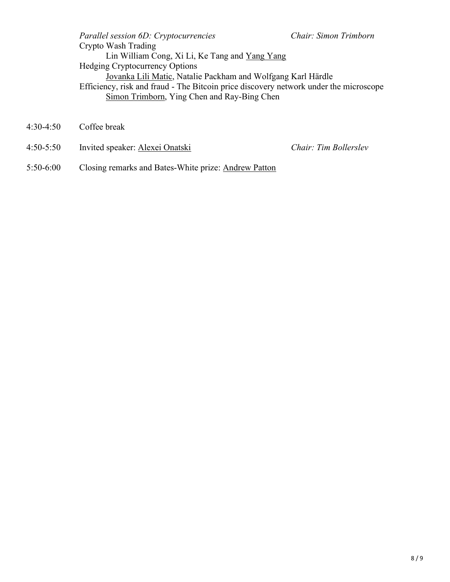Parallel session 6D: Cryptocurrencies Chair: Simon Trimborn Crypto Wash Trading Lin William Cong, Xi Li, Ke Tang and Yang Yang Hedging Cryptocurrency Options Jovanka Lili Matic, Natalie Packham and Wolfgang Karl Härdle Efficiency, risk and fraud - The Bitcoin price discovery network under the microscope Simon Trimborn, Ying Chen and Ray-Bing Chen

- 4:30-4:50 Coffee break
- 4:50-5:50 Invited speaker: Alexei Onatski Chair: Tim Bollerslev

5:50-6:00 Closing remarks and Bates-White prize: Andrew Patton